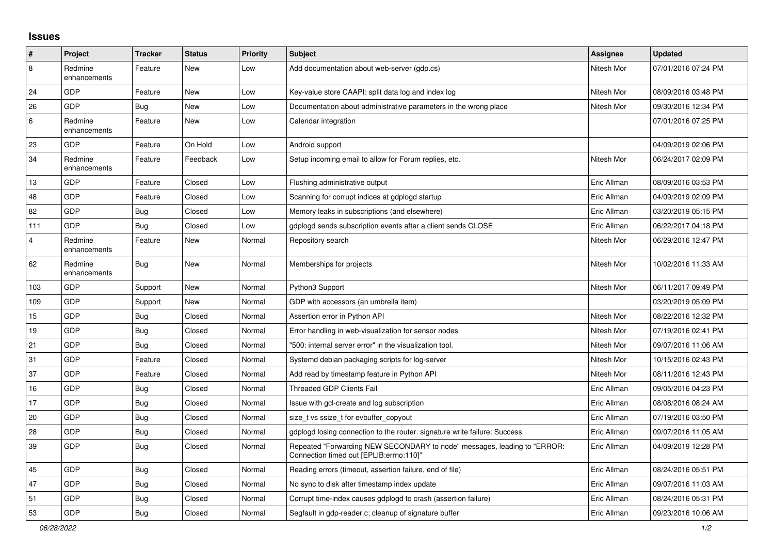## **Issues**

| ∦              | Project                 | <b>Tracker</b> | <b>Status</b> | <b>Priority</b> | <b>Subject</b>                                                                                                      | Assignee    | <b>Updated</b>      |
|----------------|-------------------------|----------------|---------------|-----------------|---------------------------------------------------------------------------------------------------------------------|-------------|---------------------|
| $\overline{8}$ | Redmine<br>enhancements | Feature        | New           | Low             | Add documentation about web-server (gdp.cs)                                                                         | Nitesh Mor  | 07/01/2016 07:24 PM |
| 24             | GDP                     | Feature        | New           | Low             | Key-value store CAAPI: split data log and index log                                                                 | Nitesh Mor  | 08/09/2016 03:48 PM |
| 26             | <b>GDP</b>              | Bug            | New           | Low             | Documentation about administrative parameters in the wrong place                                                    | Nitesh Mor  | 09/30/2016 12:34 PM |
| 6              | Redmine<br>enhancements | Feature        | New           | Low             | Calendar integration                                                                                                |             | 07/01/2016 07:25 PM |
| 23             | GDP                     | Feature        | On Hold       | Low             | Android support                                                                                                     |             | 04/09/2019 02:06 PM |
| 34             | Redmine<br>enhancements | Feature        | Feedback      | Low             | Setup incoming email to allow for Forum replies, etc.                                                               | Nitesh Mor  | 06/24/2017 02:09 PM |
| 13             | GDP                     | Feature        | Closed        | Low             | Flushing administrative output                                                                                      | Eric Allman | 08/09/2016 03:53 PM |
| 48             | GDP                     | Feature        | Closed        | Low             | Scanning for corrupt indices at gdplogd startup                                                                     | Eric Allman | 04/09/2019 02:09 PM |
| 82             | GDP                     | Bug            | Closed        | Low             | Memory leaks in subscriptions (and elsewhere)                                                                       | Eric Allman | 03/20/2019 05:15 PM |
| 111            | GDP                     | Bug            | Closed        | Low             | gdplogd sends subscription events after a client sends CLOSE                                                        | Eric Allman | 06/22/2017 04:18 PM |
| $\overline{4}$ | Redmine<br>enhancements | Feature        | New           | Normal          | Repository search                                                                                                   | Nitesh Mor  | 06/29/2016 12:47 PM |
| 62             | Redmine<br>enhancements | <b>Bug</b>     | <b>New</b>    | Normal          | Memberships for projects                                                                                            | Nitesh Mor  | 10/02/2016 11:33 AM |
| 103            | GDP                     | Support        | New           | Normal          | Python3 Support                                                                                                     | Nitesh Mor  | 06/11/2017 09:49 PM |
| 109            | GDP                     | Support        | <b>New</b>    | Normal          | GDP with accessors (an umbrella item)                                                                               |             | 03/20/2019 05:09 PM |
| 15             | GDP                     | <b>Bug</b>     | Closed        | Normal          | Assertion error in Python API                                                                                       | Nitesh Mor  | 08/22/2016 12:32 PM |
| 19             | GDP                     | <b>Bug</b>     | Closed        | Normal          | Error handling in web-visualization for sensor nodes                                                                | Nitesh Mor  | 07/19/2016 02:41 PM |
| 21             | GDP                     | <b>Bug</b>     | Closed        | Normal          | "500: internal server error" in the visualization tool.                                                             | Nitesh Mor  | 09/07/2016 11:06 AM |
| 31             | GDP                     | Feature        | Closed        | Normal          | Systemd debian packaging scripts for log-server                                                                     | Nitesh Mor  | 10/15/2016 02:43 PM |
| 37             | GDP                     | Feature        | Closed        | Normal          | Add read by timestamp feature in Python API                                                                         | Nitesh Mor  | 08/11/2016 12:43 PM |
| 16             | GDP                     | <b>Bug</b>     | Closed        | Normal          | <b>Threaded GDP Clients Fail</b>                                                                                    | Eric Allman | 09/05/2016 04:23 PM |
| 17             | GDP                     | <b>Bug</b>     | Closed        | Normal          | Issue with gcl-create and log subscription                                                                          | Eric Allman | 08/08/2016 08:24 AM |
| 20             | GDP                     | <b>Bug</b>     | Closed        | Normal          | size_t vs ssize_t for evbuffer_copyout                                                                              | Eric Allman | 07/19/2016 03:50 PM |
| 28             | GDP                     | <b>Bug</b>     | Closed        | Normal          | gdplogd losing connection to the router, signature write failure: Success                                           | Eric Allman | 09/07/2016 11:05 AM |
| 39             | GDP                     | <b>Bug</b>     | Closed        | Normal          | Repeated "Forwarding NEW SECONDARY to node" messages, leading to "ERROR:<br>Connection timed out [EPLIB:errno:110]" | Eric Allman | 04/09/2019 12:28 PM |
| 45             | GDP                     | Bug            | Closed        | Normal          | Reading errors (timeout, assertion failure, end of file)                                                            | Eric Allman | 08/24/2016 05:51 PM |
| 47             | GDP                     | Bug            | Closed        | Normal          | No sync to disk after timestamp index update                                                                        | Eric Allman | 09/07/2016 11:03 AM |
| 51             | GDP                     | <b>Bug</b>     | Closed        | Normal          | Corrupt time-index causes gdplogd to crash (assertion failure)                                                      | Eric Allman | 08/24/2016 05:31 PM |
| 53             | GDP                     | Bug            | Closed        | Normal          | Segfault in gdp-reader.c; cleanup of signature buffer                                                               | Eric Allman | 09/23/2016 10:06 AM |